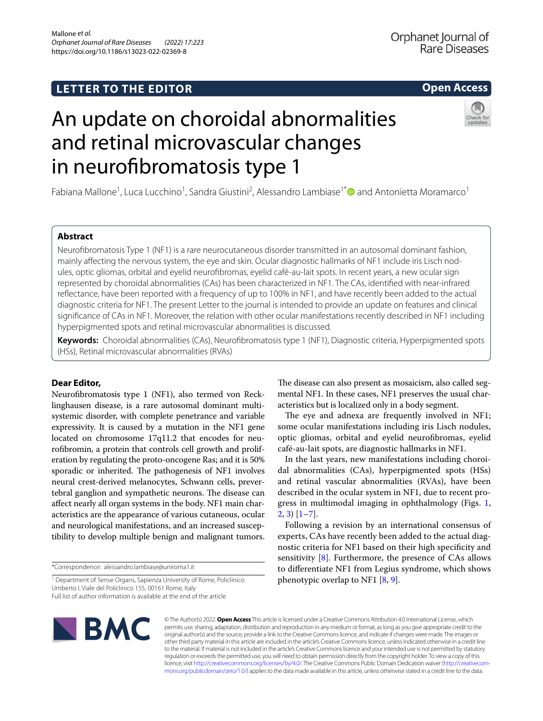## **LETTER TO THE EDITOR**

## **Open Access**

# An update on choroidal abnormalities and retinal microvascular changes in neurofibromatosis type 1



Fabiana Mallone<sup>1</sup>, Luca Lucchino<sup>1</sup>, Sandra Giustini<sup>2</sup>, Alessandro Lambiase<sup>1\*</sup> and Antonietta Moramarco<sup>1</sup>

#### **Abstract**

Neurofbromatosis Type 1 (NF1) is a rare neurocutaneous disorder transmitted in an autosomal dominant fashion, mainly afecting the nervous system, the eye and skin. Ocular diagnostic hallmarks of NF1 include iris Lisch nodules, optic gliomas, orbital and eyelid neurofbromas, eyelid café-au-lait spots. In recent years, a new ocular sign represented by choroidal abnormalities (CAs) has been characterized in NF1. The CAs, identifed with near-infrared refectance, have been reported with a frequency of up to 100% in NF1, and have recently been added to the actual diagnostic criteria for NF1. The present Letter to the journal is intended to provide an update on features and clinical signifcance of CAs in NF1. Moreover, the relation with other ocular manifestations recently described in NF1 including hyperpigmented spots and retinal microvascular abnormalities is discussed.

**Keywords:** Choroidal abnormalities (CAs), Neurofbromatosis type 1 (NF1), Diagnostic criteria, Hyperpigmented spots (HSs), Retinal microvascular abnormalities (RVAs)

#### **Dear Editor,**

Neurofbromatosis type 1 (NF1), also termed von Recklinghausen disease, is a rare autosomal dominant multisystemic disorder, with complete penetrance and variable expressivity. It is caused by a mutation in the NF1 gene located on chromosome 17q11.2 that encodes for neurofbromin, a protein that controls cell growth and proliferation by regulating the proto-oncogene Ras; and it is 50% sporadic or inherited. The pathogenesis of NF1 involves neural crest-derived melanocytes, Schwann cells, prevertebral ganglion and sympathetic neurons. The disease can afect nearly all organ systems in the body. NF1 main characteristics are the appearance of various cutaneous, ocular and neurological manifestations, and an increased susceptibility to develop multiple benign and malignant tumors.

\*Correspondence: alessandro.lambiase@uniroma1.it

<sup>1</sup> Department of Sense Organs, Sapienza University of Rome, Policlinico Umberto I, Viale del Policlinico 155, 00161 Rome, Italy Full list of author information is available at the end of the article

The disease can also present as mosaicism, also called segmental NF1. In these cases, NF1 preserves the usual characteristics but is localized only in a body segment.

The eye and adnexa are frequently involved in NF1; some ocular manifestations including iris Lisch nodules, optic gliomas, orbital and eyelid neurofbromas, eyelid café-au-lait spots, are diagnostic hallmarks in NF1.

In the last years, new manifestations including choroidal abnormalities (CAs), hyperpigmented spots (HSs) and retinal vascular abnormalities (RVAs), have been described in the ocular system in NF1, due to recent progress in multimodal imaging in ophthalmology (Figs. [1](#page-1-0),  $2, 3$  $2, 3$  [[1–](#page-3-0)[7\]](#page-3-1).

Following a revision by an international consensus of experts, CAs have recently been added to the actual diagnostic criteria for NF1 based on their high specifcity and sensitivity [\[8](#page-3-2)]. Furthermore, the presence of CAs allows to diferentiate NF1 from Legius syndrome, which shows phenotypic overlap to NF1 [\[8](#page-3-2), [9\]](#page-3-3).



© The Author(s) 2022. **Open Access** This article is licensed under a Creative Commons Attribution 4.0 International License, which permits use, sharing, adaptation, distribution and reproduction in any medium or format, as long as you give appropriate credit to the original author(s) and the source, provide a link to the Creative Commons licence, and indicate if changes were made. The images or other third party material in this article are included in the article's Creative Commons licence, unless indicated otherwise in a credit line to the material. If material is not included in the article's Creative Commons licence and your intended use is not permitted by statutory regulation or exceeds the permitted use, you will need to obtain permission directly from the copyright holder. To view a copy of this licence, visit [http://creativecommons.org/licenses/by/4.0/.](http://creativecommons.org/licenses/by/4.0/) The Creative Commons Public Domain Dedication waiver ([http://creativecom](http://creativecommons.org/publicdomain/zero/1.0/)[mons.org/publicdomain/zero/1.0/\)](http://creativecommons.org/publicdomain/zero/1.0/) applies to the data made available in this article, unless otherwise stated in a credit line to the data.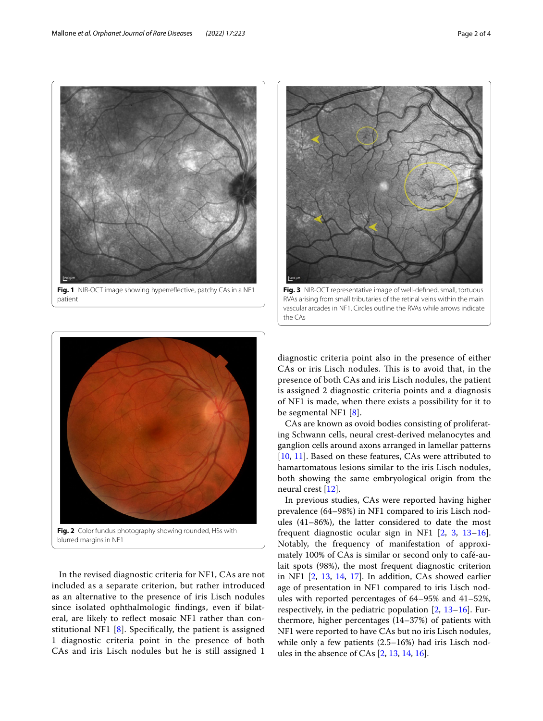



<span id="page-1-2"></span>**Fig. 3** NIR-OCT representative image of well-defned, small, tortuous RVAs arising from small tributaries of the retinal veins within the main vascular arcades in NF1. Circles outline the RVAs while arrows indicate the CAs

<span id="page-1-0"></span>

<span id="page-1-1"></span>In the revised diagnostic criteria for NF1, CAs are not included as a separate criterion, but rather introduced as an alternative to the presence of iris Lisch nodules since isolated ophthalmologic fndings, even if bilateral, are likely to refect mosaic NF1 rather than constitutional NF1 [[8](#page-3-2)]. Specifcally, the patient is assigned 1 diagnostic criteria point in the presence of both CAs and iris Lisch nodules but he is still assigned 1

diagnostic criteria point also in the presence of either CAs or iris Lisch nodules. This is to avoid that, in the presence of both CAs and iris Lisch nodules, the patient is assigned 2 diagnostic criteria points and a diagnosis of NF1 is made, when there exists a possibility for it to be segmental NF1 [\[8](#page-3-2)].

CAs are known as ovoid bodies consisting of proliferating Schwann cells, neural crest-derived melanocytes and ganglion cells around axons arranged in lamellar patterns [[10,](#page-3-4) [11\]](#page-3-5). Based on these features, CAs were attributed to hamartomatous lesions similar to the iris Lisch nodules, both showing the same embryological origin from the neural crest [\[12](#page-3-6)].

In previous studies, CAs were reported having higher prevalence (64–98%) in NF1 compared to iris Lisch nodules (41–86%), the latter considered to date the most frequent diagnostic ocular sign in NF1 [\[2](#page-3-7), [3](#page-3-8), [13](#page-3-9)[–16](#page-3-10)]. Notably, the frequency of manifestation of approximately 100% of CAs is similar or second only to café-aulait spots (98%), the most frequent diagnostic criterion in NF1 [\[2](#page-3-7), [13](#page-3-9), [14](#page-3-11), [17\]](#page-3-12). In addition, CAs showed earlier age of presentation in NF1 compared to iris Lisch nodules with reported percentages of 64–95% and 41–52%, respectively, in the pediatric population  $[2, 13-16]$  $[2, 13-16]$  $[2, 13-16]$  $[2, 13-16]$ . Furthermore, higher percentages (14–37%) of patients with NF1 were reported to have CAs but no iris Lisch nodules, while only a few patients (2.5–16%) had iris Lisch nodules in the absence of CAs [\[2](#page-3-7), [13](#page-3-9), [14,](#page-3-11) [16](#page-3-10)].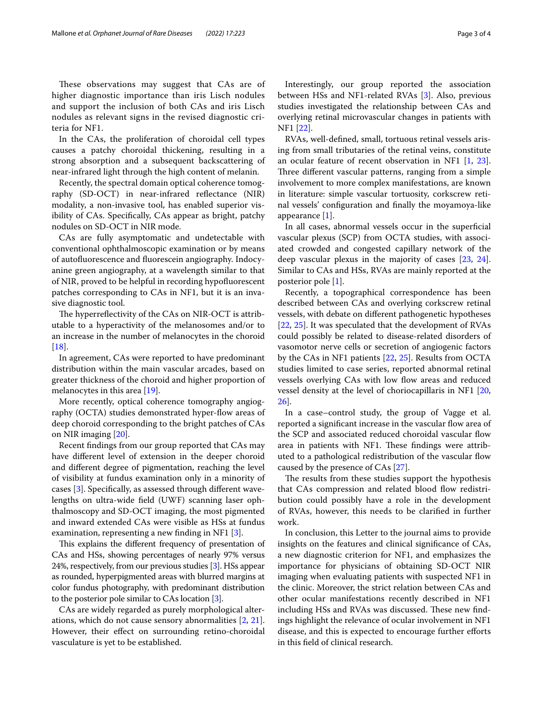These observations may suggest that CAs are of higher diagnostic importance than iris Lisch nodules and support the inclusion of both CAs and iris Lisch nodules as relevant signs in the revised diagnostic criteria for NF1.

In the CAs, the proliferation of choroidal cell types causes a patchy choroidal thickening, resulting in a strong absorption and a subsequent backscattering of near-infrared light through the high content of melanin.

Recently, the spectral domain optical coherence tomography (SD-OCT) in near-infrared refectance (NIR) modality, a non-invasive tool, has enabled superior visibility of CAs. Specifcally, CAs appear as bright, patchy nodules on SD-OCT in NIR mode.

CAs are fully asymptomatic and undetectable with conventional ophthalmoscopic examination or by means of autofuorescence and fuorescein angiography. Indocyanine green angiography, at a wavelength similar to that of NIR, proved to be helpful in recording hypofuorescent patches corresponding to CAs in NF1, but it is an invasive diagnostic tool.

The hyperreflectivity of the CAs on NIR-OCT is attributable to a hyperactivity of the melanosomes and/or to an increase in the number of melanocytes in the choroid [[18\]](#page-3-13).

In agreement, CAs were reported to have predominant distribution within the main vascular arcades, based on greater thickness of the choroid and higher proportion of melanocytes in this area [[19](#page-3-14)].

More recently, optical coherence tomography angiography (OCTA) studies demonstrated hyper-fow areas of deep choroid corresponding to the bright patches of CAs on NIR imaging [\[20](#page-3-15)].

Recent fndings from our group reported that CAs may have diferent level of extension in the deeper choroid and diferent degree of pigmentation, reaching the level of visibility at fundus examination only in a minority of cases [[3\]](#page-3-8). Specifcally, as assessed through diferent wavelengths on ultra-wide feld (UWF) scanning laser ophthalmoscopy and SD-OCT imaging, the most pigmented and inward extended CAs were visible as HSs at fundus examination, representing a new fnding in NF1 [[3\]](#page-3-8).

This explains the different frequency of presentation of CAs and HSs, showing percentages of nearly 97% versus 24%, respectively, from our previous studies [\[3](#page-3-8)]. HSs appear as rounded, hyperpigmented areas with blurred margins at color fundus photography, with predominant distribution to the posterior pole similar to CAs location [\[3](#page-3-8)].

CAs are widely regarded as purely morphological alterations, which do not cause sensory abnormalities [\[2](#page-3-7), [21](#page-3-16)]. However, their effect on surrounding retino-choroidal vasculature is yet to be established.

Interestingly, our group reported the association between HSs and NF1-related RVAs [[3\]](#page-3-8). Also, previous studies investigated the relationship between CAs and overlying retinal microvascular changes in patients with NF1 [[22\]](#page-3-17).

RVAs, well-defned, small, tortuous retinal vessels arising from small tributaries of the retinal veins, constitute an ocular feature of recent observation in NF1 [\[1](#page-3-0), [23](#page-3-18)]. Three different vascular patterns, ranging from a simple involvement to more complex manifestations, are known in literature: simple vascular tortuosity, corkscrew retinal vessels' confguration and fnally the moyamoya-like appearance [[1\]](#page-3-0).

In all cases, abnormal vessels occur in the superficial vascular plexus (SCP) from OCTA studies, with associated crowded and congested capillary network of the deep vascular plexus in the majority of cases [[23,](#page-3-18) [24](#page-3-19)]. Similar to CAs and HSs, RVAs are mainly reported at the posterior pole [\[1](#page-3-0)].

Recently, a topographical correspondence has been described between CAs and overlying corkscrew retinal vessels, with debate on diferent pathogenetic hypotheses [[22,](#page-3-17) [25\]](#page-3-20). It was speculated that the development of RVAs could possibly be related to disease-related disorders of vasomotor nerve cells or secretion of angiogenic factors by the CAs in NF1 patients [\[22,](#page-3-17) [25\]](#page-3-20). Results from OCTA studies limited to case series, reported abnormal retinal vessels overlying CAs with low flow areas and reduced vessel density at the level of choriocapillaris in NF1 [[20](#page-3-15), [26\]](#page-3-21).

In a case–control study, the group of Vagge et al. reported a significant increase in the vascular flow area of the SCP and associated reduced choroidal vascular fow area in patients with NF1. These findings were attributed to a pathological redistribution of the vascular flow caused by the presence of CAs [\[27](#page-3-22)].

The results from these studies support the hypothesis that CAs compression and related blood flow redistribution could possibly have a role in the development of RVAs, however, this needs to be clarifed in further work.

In conclusion, this Letter to the journal aims to provide insights on the features and clinical signifcance of CAs, a new diagnostic criterion for NF1, and emphasizes the importance for physicians of obtaining SD-OCT NIR imaging when evaluating patients with suspected NF1 in the clinic. Moreover, the strict relation between CAs and other ocular manifestations recently described in NF1 including HSs and RVAs was discussed. These new findings highlight the relevance of ocular involvement in NF1 disease, and this is expected to encourage further efforts in this feld of clinical research.